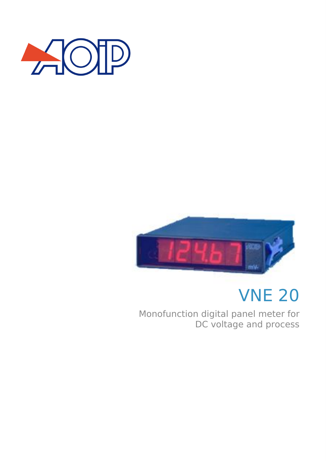



# VNE 20

Monofunction digital panel meter for DC voltage and process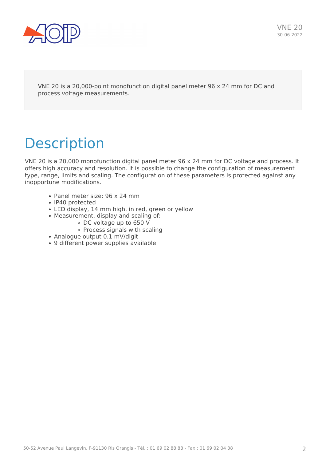

VNE 20 is a 20,000-point monofunction digital panel meter 96 x 24 mm for DC and process voltage measurements.

## **Description**

VNE 20 is a 20,000 monofunction digital panel meter 96 x 24 mm for DC voltage and process. It offers high accuracy and resolution. It is possible to change the configuration of measurement type, range, limits and scaling. The configuration of these parameters is protected against any inopportune modifications.

- Panel meter size: 96 x 24 mm
- IP40 protected
- LED display, 14 mm high, in red, green or yellow
- Measurement, display and scaling of:
	- DC voltage up to 650 V
	- Process signals with scaling
- Analogue output 0.1 mV/digit
- 9 different power supplies available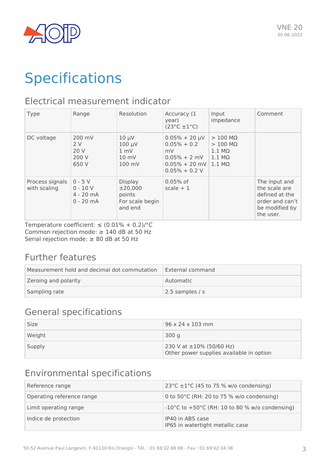

## Specifications

#### Electrical measurement indicator

| Type                            | Range                                                       | Resolution                                                        | Accuracy (1<br>year)<br>$(23^{\circ}C \pm 1^{\circ}C)$                                                          | Input<br>impedance                                                               | Comment                                                                                            |
|---------------------------------|-------------------------------------------------------------|-------------------------------------------------------------------|-----------------------------------------------------------------------------------------------------------------|----------------------------------------------------------------------------------|----------------------------------------------------------------------------------------------------|
| DC voltage                      | 200 mV<br>2 V<br>20 V<br>200 V<br>650 V                     | $10 \mu V$<br>$100 \mu V$<br>1 mV<br>$10 \, \text{mV}$<br>100 mV  | $0.05\% + 20 \mu V$<br>$0.05\% + 0.2$<br>mV<br>$0.05\% + 2$ mV<br>$0.05\% + 20$ mV   1.1 MQ<br>$0.05\% + 0.2$ V | $>100$ M $\Omega$<br>$>100$ M $\Omega$<br>$1.1 \text{ M}\Omega$<br>$1.1 M\Omega$ |                                                                                                    |
| Process signals<br>with scaling | $0 - 5V$<br>$0 - 10V$<br>$4 - 20 \text{ mA}$<br>$0 - 20$ mA | <b>Display</b><br>±20,000<br>points<br>For scale begin<br>and end | $0.05%$ of<br>scale $+1$                                                                                        |                                                                                  | The input and<br>the scale are<br>defined at the<br>order and can't<br>be modified by<br>the user. |

Temperature coefficient:  $\leq$  (0.01% + 0.2)/°C Common rejection mode: ≥ 140 dB at 50 Hz Serial rejection mode:  $\geq 80$  dB at 50 Hz

#### Further features

| Measurement hold and decimal dot commutation | External command        |  |
|----------------------------------------------|-------------------------|--|
| <b>Zeroing and polarity</b>                  | Automatic               |  |
| Sampling rate                                | $\vert$ 2.5 samples / s |  |

#### General specifications

| <b>Size</b> | 96 x 24 x 103 mm                                                           |
|-------------|----------------------------------------------------------------------------|
| Weight      | 300q                                                                       |
| Supply      | 230 V at $\pm 10\%$ (50/60 Hz)<br>Other power supplies available in option |

#### Environmental specifications

| Reference range           | 23°C $\pm$ 1°C (45 to 75 % w/o condensing)           |  |
|---------------------------|------------------------------------------------------|--|
| Operating reference range | 0 to 50 $^{\circ}$ C (RH: 20 to 75 % w/o condensing) |  |
| Limit operating range     | -10°C to +50°C (RH: 10 to 80 % w/o condensing)       |  |
| Indice de protection      | IP40 in ABS case<br>IP65 in watertight metallic case |  |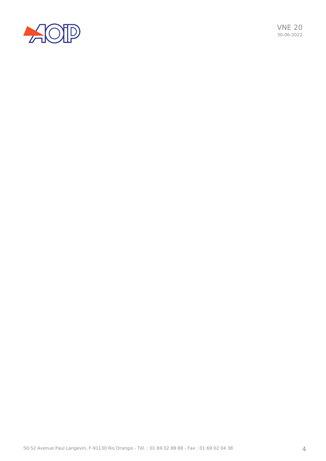

VNE 20 30-06-2022